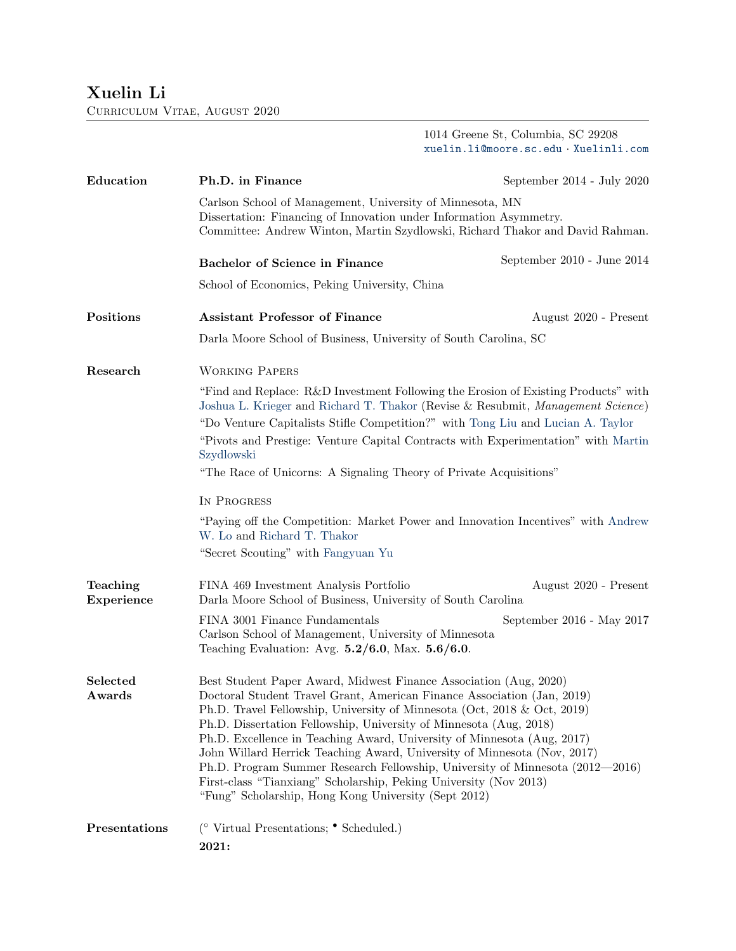Curriculum Vitae, August 2020

1014 Greene St, Columbia, SC 29208 <xuelin.li@moore.sc.edu> · <Xuelinli.com>

| Education              | Ph.D. in Finance                                                                                                                                                                                                                                                                                                                                                                                                                                                                                                                                                                                                                                                    | September 2014 - July 2020 |  |
|------------------------|---------------------------------------------------------------------------------------------------------------------------------------------------------------------------------------------------------------------------------------------------------------------------------------------------------------------------------------------------------------------------------------------------------------------------------------------------------------------------------------------------------------------------------------------------------------------------------------------------------------------------------------------------------------------|----------------------------|--|
|                        | Carlson School of Management, University of Minnesota, MN<br>Dissertation: Financing of Innovation under Information Asymmetry.<br>Committee: Andrew Winton, Martin Szydlowski, Richard Thakor and David Rahman.                                                                                                                                                                                                                                                                                                                                                                                                                                                    |                            |  |
|                        | <b>Bachelor of Science in Finance</b>                                                                                                                                                                                                                                                                                                                                                                                                                                                                                                                                                                                                                               | September 2010 - June 2014 |  |
|                        | School of Economics, Peking University, China                                                                                                                                                                                                                                                                                                                                                                                                                                                                                                                                                                                                                       |                            |  |
| Positions              | <b>Assistant Professor of Finance</b>                                                                                                                                                                                                                                                                                                                                                                                                                                                                                                                                                                                                                               | August 2020 - Present      |  |
|                        | Darla Moore School of Business, University of South Carolina, SC                                                                                                                                                                                                                                                                                                                                                                                                                                                                                                                                                                                                    |                            |  |
| Research               | <b>WORKING PAPERS</b>                                                                                                                                                                                                                                                                                                                                                                                                                                                                                                                                                                                                                                               |                            |  |
|                        | "Find and Replace: R&D Investment Following the Erosion of Existing Products" with<br>Joshua L. Krieger and Richard T. Thakor (Revise & Resubmit, Management Science)                                                                                                                                                                                                                                                                                                                                                                                                                                                                                               |                            |  |
|                        | "Do Venture Capitalists Stifle Competition?" with Tong Liu and Lucian A. Taylor<br>"Pivots and Prestige: Venture Capital Contracts with Experimentation" with Martin<br>Szydlowski                                                                                                                                                                                                                                                                                                                                                                                                                                                                                  |                            |  |
|                        | "The Race of Unicorns: A Signaling Theory of Private Acquisitions"                                                                                                                                                                                                                                                                                                                                                                                                                                                                                                                                                                                                  |                            |  |
|                        | IN PROGRESS                                                                                                                                                                                                                                                                                                                                                                                                                                                                                                                                                                                                                                                         |                            |  |
|                        | "Paying off the Competition: Market Power and Innovation Incentives" with Andrew<br>W. Lo and Richard T. Thakor                                                                                                                                                                                                                                                                                                                                                                                                                                                                                                                                                     |                            |  |
|                        | "Secret Scouting" with Fangyuan Yu                                                                                                                                                                                                                                                                                                                                                                                                                                                                                                                                                                                                                                  |                            |  |
| Teaching<br>Experience | FINA 469 Investment Analysis Portfolio<br>Darla Moore School of Business, University of South Carolina                                                                                                                                                                                                                                                                                                                                                                                                                                                                                                                                                              | August 2020 - Present      |  |
|                        | FINA 3001 Finance Fundamentals<br>Carlson School of Management, University of Minnesota<br>Teaching Evaluation: Avg. $5.2/6.0$ , Max. $5.6/6.0$ .                                                                                                                                                                                                                                                                                                                                                                                                                                                                                                                   | September 2016 - May 2017  |  |
| Selected<br>Awards     | Best Student Paper Award, Midwest Finance Association (Aug, 2020)<br>Doctoral Student Travel Grant, American Finance Association (Jan, 2019)<br>Ph.D. Travel Fellowship, University of Minnesota (Oct, 2018 & Oct, 2019)<br>Ph.D. Dissertation Fellowship, University of Minnesota (Aug, 2018)<br>Ph.D. Excellence in Teaching Award, University of Minnesota (Aug, 2017)<br>John Willard Herrick Teaching Award, University of Minnesota (Nov, 2017)<br>Ph.D. Program Summer Research Fellowship, University of Minnesota (2012—2016)<br>First-class "Tianxiang" Scholarship, Peking University (Nov 2013)<br>"Fung" Scholarship, Hong Kong University (Sept 2012) |                            |  |
| Presentations          | ( $\circ$ Virtual Presentations; $\bullet$ Scheduled.)<br>2021:                                                                                                                                                                                                                                                                                                                                                                                                                                                                                                                                                                                                     |                            |  |